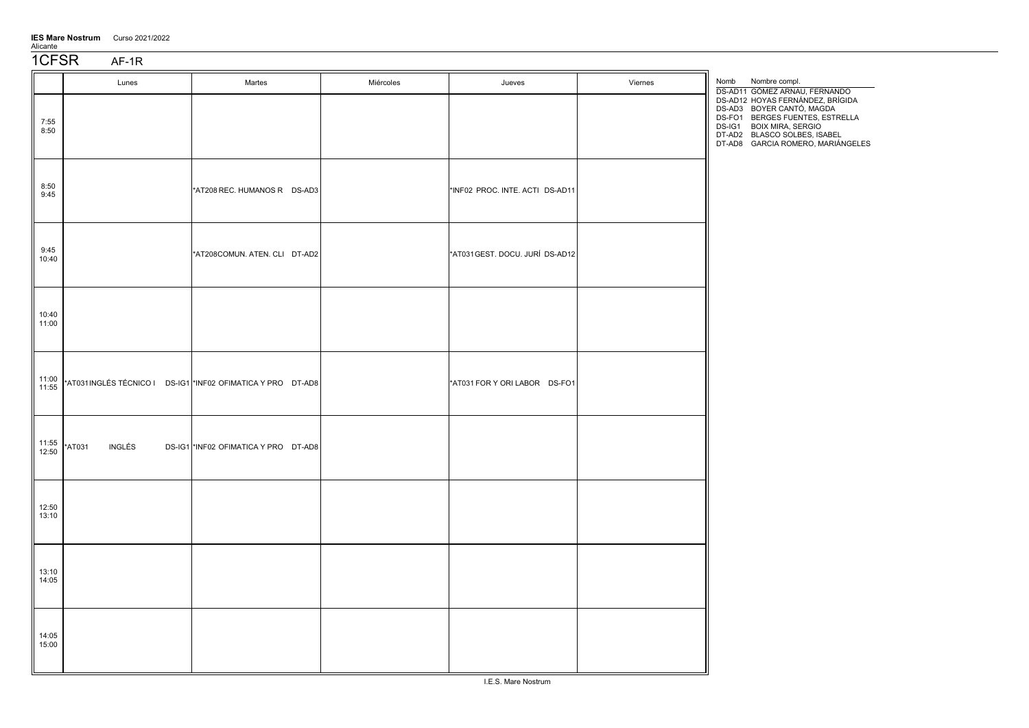| <b>IES Mare Nostrum</b> | Curso 2021/2022 |
|-------------------------|-----------------|
| Alicante                |                 |

1CFSR AF-1R

|                | Lunes            | Martes                                                      | Miércoles | Jueves                          | Viernes | Nombre compl.<br>Nomb<br>DS-AD11 GÓMEZ ARNAU, FERNANDO                                                                                                                                            |
|----------------|------------------|-------------------------------------------------------------|-----------|---------------------------------|---------|---------------------------------------------------------------------------------------------------------------------------------------------------------------------------------------------------|
| 7:55<br>8:50   |                  |                                                             |           |                                 |         | DS-AD12 HOYAS FERNÁNDEZ, BRÍGIDA<br>DS-AD3 BOYER CANTÓ, MAGDA<br>DS-FO1 BERGES FUENTES, ESTRELLA<br>DS-IG1 BOIX MIRA, SERGIO<br>DT-AD2 BLASCO SOLBES, ISABEL<br>DT-AD8 GARCIA ROMERO, MARIÁNGELES |
| 8:50<br>9:45   |                  | *AT208 REC. HUMANOS R DS-AD3                                |           | *INF02 PROC. INTE. ACTI DS-AD11 |         |                                                                                                                                                                                                   |
| 9:45<br>10:40  |                  | *AT208COMUN. ATEN. CLI DT-AD2                               |           | *AT031GEST. DOCU. JURÍ DS-AD12  |         |                                                                                                                                                                                                   |
| 10:40<br>11:00 |                  |                                                             |           |                                 |         |                                                                                                                                                                                                   |
| 11:00<br>11:55 |                  | *AT031INGLÉS TÉCNICO I DS-IG1 *INF02 OFIMATICA Y PRO DT-AD8 |           | *AT031 FOR Y ORI LABOR DS-FO1   |         |                                                                                                                                                                                                   |
| 11:55<br>12:50 | *AT031<br>INGLÉS | DS-IG1 *INF02 OFIMATICA Y PRO DT-AD8                        |           |                                 |         |                                                                                                                                                                                                   |
| 12:50<br>13:10 |                  |                                                             |           |                                 |         |                                                                                                                                                                                                   |
| 13:10<br>14:05 |                  |                                                             |           |                                 |         |                                                                                                                                                                                                   |
| 14:05<br>15:00 |                  |                                                             |           |                                 |         |                                                                                                                                                                                                   |